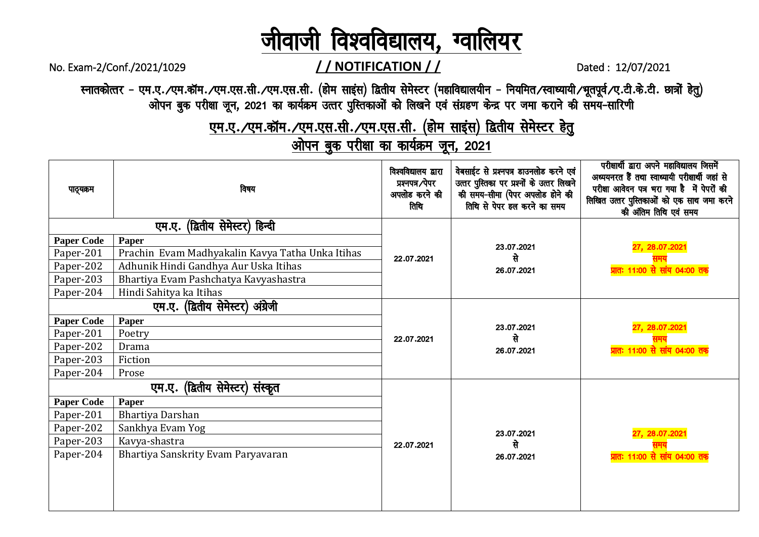#### ो विश्वविद्यालय, ग्वालियर जीवाजी

### //NOTIFICATION//

Dated: 12/07/2021

स्नातकोत्तर - एम.ए. ∕एम.कॉम. ∕एम.एस.सी. ⁄एम.एस.सी. (होम साइंस) द्वितीय सेमेस्टर (महाविद्यालयीन - नियमित ∕स्वाध्यायी ∕भूतपूर्व ∕ए.टी.के.टी. छात्रों हेतु) ओपन बुक परीक्षा जून, 2021 का कार्यक्रम उत्तर पुस्तिकाओं को लिखने एवं संग्रहण केन्द्र पर जमा कराने की समय-सारिणी

No. Exam-2/Conf./2021/1029

एम.ए./एम.कॉम./एम.एस.सी./एम.एस.सी. (होम साइंस) द्वितीय सेमेस्टर हेतु

ओपन बुक परीक्षा का कार्यक्रम जून, 2021

| उत्तर पुस्तिका पर प्रश्नों के उत्तर लिखने<br>प्रश्नपत्र ∕पेपर<br>परीक्षा आवेदन पत्र भरा गया है में पेपरों की<br>विषय<br>पाठ्यक्रम<br>अपलोड करने की<br>की समय-सीमा (पेपर अपलोड होने की<br>लिखित उत्तर पुस्तिकाओं को एक साथ जमा करने<br>तिथि से पेपर हल करने का समय<br>तिथि<br>की अंतिम तिथि एवं समय | अध्ययनरत हैं तथा स्वाध्यायी परीक्षार्थी जहां से |  |  |
|----------------------------------------------------------------------------------------------------------------------------------------------------------------------------------------------------------------------------------------------------------------------------------------------------|-------------------------------------------------|--|--|
| एम.ए. (द्वितीय सेमेस्टर) हिन्दी                                                                                                                                                                                                                                                                    |                                                 |  |  |
| <b>Paper Code</b><br>Paper<br>27, 28.07.2021<br>23.07.2021                                                                                                                                                                                                                                         |                                                 |  |  |
| Prachin Evam Madhyakalin Kavya Tatha Unka Itihas<br>Paper-201<br>से<br>22.07.2021                                                                                                                                                                                                                  |                                                 |  |  |
| Adhunik Hindi Gandhya Aur Uska Itihas<br>Paper-202<br>प्रातः 11:00 से सांय 04:00 तक<br>26.07.2021                                                                                                                                                                                                  |                                                 |  |  |
| Paper-203<br>Bhartiya Evam Pashchatya Kavyashastra                                                                                                                                                                                                                                                 |                                                 |  |  |
| Hindi Sahitya ka Itihas<br>Paper-204                                                                                                                                                                                                                                                               |                                                 |  |  |
| एम.ए. (द्वितीय सेमेस्टर) अंग्रेजी                                                                                                                                                                                                                                                                  |                                                 |  |  |
| <b>Paper Code</b><br><b>Paper</b><br>27, 28.07.2021                                                                                                                                                                                                                                                |                                                 |  |  |
| 23.07.2021<br>Paper-201<br>Poetry<br>से<br>22.07.2021                                                                                                                                                                                                                                              |                                                 |  |  |
| Paper-202<br>Drama<br><mark>प्रातः 11:00 से सांय 04:00 तक</mark><br>26.07.2021                                                                                                                                                                                                                     |                                                 |  |  |
| Paper-203<br>Fiction                                                                                                                                                                                                                                                                               |                                                 |  |  |
| Paper-204<br>Prose                                                                                                                                                                                                                                                                                 |                                                 |  |  |
| एम.ए. (द्वितीय सेमेस्टर) संस्कृत                                                                                                                                                                                                                                                                   |                                                 |  |  |
| <b>Paper Code</b><br>Paper                                                                                                                                                                                                                                                                         |                                                 |  |  |
| Bhartiya Darshan<br>Paper-201                                                                                                                                                                                                                                                                      |                                                 |  |  |
| Sankhya Evam Yog<br>Paper-202<br>27, 28.07.2021<br>23.07.2021                                                                                                                                                                                                                                      |                                                 |  |  |
| Paper-203<br>Kavya-shastra<br>से<br>22.07.2021                                                                                                                                                                                                                                                     |                                                 |  |  |
| Paper-204<br>Bhartiya Sanskrity Evam Paryavaran<br><mark>प्रातः 11:00 से सांय 04:00 तक</mark><br>26.07.2021                                                                                                                                                                                        |                                                 |  |  |
|                                                                                                                                                                                                                                                                                                    |                                                 |  |  |
|                                                                                                                                                                                                                                                                                                    |                                                 |  |  |
|                                                                                                                                                                                                                                                                                                    |                                                 |  |  |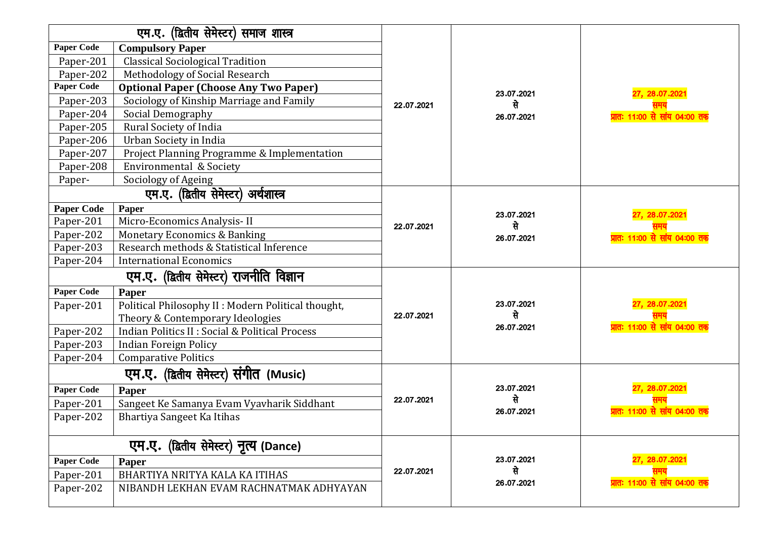| एम.ए. (द्वितीय सेमेस्टर) समाज शास्त्र    |                                                     |            |            |                                      |
|------------------------------------------|-----------------------------------------------------|------------|------------|--------------------------------------|
| <b>Paper Code</b>                        | <b>Compulsory Paper</b>                             |            |            |                                      |
| Paper-201                                | <b>Classical Sociological Tradition</b>             |            |            |                                      |
| Paper-202                                | Methodology of Social Research                      |            |            |                                      |
| <b>Paper Code</b>                        | <b>Optional Paper (Choose Any Two Paper)</b>        |            | 23.07.2021 | 27, 28.07.2021                       |
| Paper-203                                | Sociology of Kinship Marriage and Family            | 22.07.2021 | से         |                                      |
| Paper-204                                | Social Demography                                   |            | 26.07.2021 | प्रातः 11:00 से सांय 04:00 तक        |
| Paper-205                                | Rural Society of India                              |            |            |                                      |
| Paper-206                                | Urban Society in India                              |            |            |                                      |
| Paper-207                                | Project Planning Programme & Implementation         |            |            |                                      |
| Paper-208                                | Environmental & Society                             |            |            |                                      |
| Paper-                                   | Sociology of Ageing                                 |            |            |                                      |
|                                          | एम.ए. (द्वितीय सेमेस्टर) अर्थशास्त्र                |            |            |                                      |
| <b>Paper Code</b>                        | Paper                                               |            | 23.07.2021 | 27, 28.07.2021                       |
| Paper-201                                | Micro-Economics Analysis-II                         | 22.07.2021 | से         |                                      |
| Paper-202                                | <b>Monetary Economics &amp; Banking</b>             |            | 26.07.2021 | <u>प्रातः 11:00 से सांय 04:00 तक</u> |
| Paper-203                                | Research methods & Statistical Inference            |            |            |                                      |
| Paper-204                                | <b>International Economics</b>                      |            |            |                                      |
| एम.ए. (द्वितीय सेमेस्टर) राजनीति विज्ञान |                                                     |            |            |                                      |
| Paper Code                               | Paper                                               |            |            |                                      |
| Paper-201                                | Political Philosophy II : Modern Political thought, |            | 23.07.2021 | 27, 28.07.2021                       |
|                                          | Theory & Contemporary Ideologies                    | 22.07.2021 | से         |                                      |
| Paper-202                                | Indian Politics II : Social & Political Process     |            | 26.07.2021 | <u>प्रातः 11:00 से सांय 04:00 तक</u> |
| Paper-203                                | Indian Foreign Policy                               |            |            |                                      |
| Paper-204                                | <b>Comparative Politics</b>                         |            |            |                                      |
|                                          | एम.ए. (द्वितीय सेमेस्टर) संगीत (Music)              |            |            |                                      |
| <b>Paper Code</b>                        | Paper                                               |            | 23.07.2021 | 27, 28.07.202                        |
| Paper-201                                | Sangeet Ke Samanya Evam Vyavharik Siddhant          | 22.07.2021 | से         |                                      |
| Paper-202                                | Bhartiya Sangeet Ka Itihas                          |            | 26.07.2021 | प्रातः 11:00 से सांय 04:00 तक        |
| एम.ए. (द्वितीय सेमेस्टर) नृत्य (Dance)   |                                                     |            |            |                                      |
| Paper Code                               | Paper                                               | 23.07.2021 |            | 27, 28.07.2021                       |
| Paper-201                                | BHARTIYA NRITYA KALA KA ITIHAS                      | 22.07.2021 | से         |                                      |
| Paper-202                                | NIBANDH LEKHAN EVAM RACHNATMAK ADHYAYAN             |            | 26.07.2021 | प्रातः 11:00 से सांय 04:00 तक        |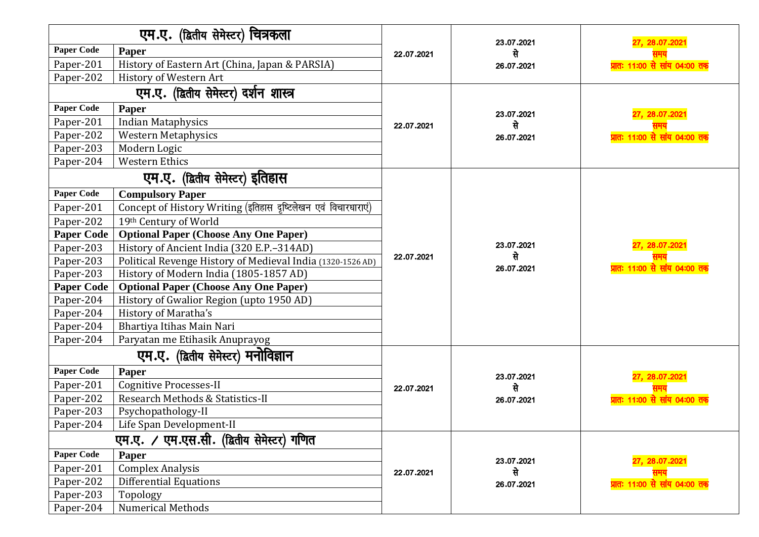| एम.ए. (द्वितीय सेमेस्टर) चित्रकला |                                                                |            | 23.07.2021                     | 27, 28.07.202                 |  |  |
|-----------------------------------|----------------------------------------------------------------|------------|--------------------------------|-------------------------------|--|--|
| <b>Paper Code</b>                 | Paper                                                          | 22.07.2021 | से                             |                               |  |  |
| Paper-201                         | History of Eastern Art (China, Japan & PARSIA)                 |            | 26.07.2021                     | गतः 11:00 से सांय 04:00 तक    |  |  |
| Paper-202                         | History of Western Art                                         |            |                                |                               |  |  |
|                                   | एम.ए. (द्वितीय सेमेस्टर) दर्शन शास्त्र                         |            |                                |                               |  |  |
| <b>Paper Code</b>                 | Paper                                                          |            | 23.07.2021                     | 27, 28.07.2021                |  |  |
| Paper-201                         | <b>Indian Mataphysics</b>                                      | 22.07.2021 | से                             |                               |  |  |
| Paper-202                         | <b>Western Metaphysics</b>                                     |            | 26.07.2021                     | प्रातः 11:00 से सांय 04:00 तक |  |  |
| Paper-203                         | Modern Logic                                                   |            |                                |                               |  |  |
| Paper-204                         | <b>Western Ethics</b>                                          |            |                                |                               |  |  |
|                                   | एम.ए. (द्वितीय सेमेस्टर) इतिहास                                |            |                                |                               |  |  |
| <b>Paper Code</b>                 | <b>Compulsory Paper</b>                                        |            |                                |                               |  |  |
| Paper-201                         | Concept of History Writing (इतिहास दृष्टिलेखन एवं विचारधाराएं) |            |                                |                               |  |  |
| Paper-202                         | 19th Century of World                                          |            |                                |                               |  |  |
| <b>Paper Code</b>                 | <b>Optional Paper (Choose Any One Paper)</b>                   |            |                                |                               |  |  |
| Paper-203                         | History of Ancient India (320 E.P. - 314AD)                    |            | 23.07.2021<br>से<br>26.07.2021 | 27, 28.07.2021                |  |  |
| Paper-203                         | Political Revenge History of Medieval India (1320-1526 AD)     | 22.07.2021 |                                | प्रातः 11:00 से सांय 04:00 तक |  |  |
| Paper-203                         | History of Modern India (1805-1857 AD)                         |            |                                |                               |  |  |
| <b>Paper Code</b>                 | <b>Optional Paper (Choose Any One Paper)</b>                   |            |                                |                               |  |  |
| Paper-204                         | History of Gwalior Region (upto 1950 AD)                       |            |                                |                               |  |  |
| Paper-204                         | History of Maratha's                                           |            |                                |                               |  |  |
| Paper-204                         | Bhartiya Itihas Main Nari                                      |            |                                |                               |  |  |
| Paper-204                         | Paryatan me Etihasik Anuprayog                                 |            |                                |                               |  |  |
|                                   | एम.ए. (द्वितीय सेमेस्टर) मनोविज्ञान                            |            |                                |                               |  |  |
| <b>Paper Code</b>                 | Paper                                                          |            | 23.07.2021                     | 27, 28.07.2021                |  |  |
| Paper-201                         | <b>Cognitive Processes-II</b>                                  | 22.07.2021 | से                             |                               |  |  |
| Paper-202                         | Research Methods & Statistics-II                               |            | 26.07.2021                     | प्रातः 11:00 से सांय 04:00 तक |  |  |
| Paper-203                         | Psychopathology-II                                             |            |                                |                               |  |  |
| Paper-204                         | Life Span Development-II                                       |            |                                |                               |  |  |
|                                   | एम.एस.सी. (द्वितीय सेमेस्टर) गणित<br>एम.ए. ⁄                   |            |                                |                               |  |  |
| <b>Paper Code</b>                 | Paper                                                          |            | 23.07.2021                     | 27, 28.07.2021                |  |  |
| Paper-201                         | <b>Complex Analysis</b>                                        | 22.07.2021 | से                             |                               |  |  |
| Paper-202                         | <b>Differential Equations</b>                                  |            | 26.07.2021                     | प्रातः 11:00 से सांय 04:00 तक |  |  |
| Paper-203                         | Topology                                                       |            |                                |                               |  |  |
| Paper-204                         | Numerical Methods                                              |            |                                |                               |  |  |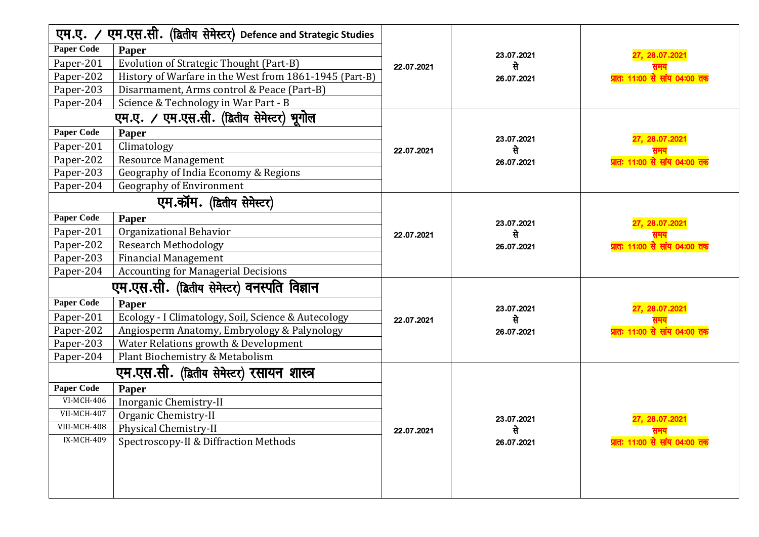| एम.एस.सी. (द्वितीय सेमेस्टर) Defence and Strategic Studies<br>एम.ए. ⁄ |                                                        |            |            |                                      |
|-----------------------------------------------------------------------|--------------------------------------------------------|------------|------------|--------------------------------------|
| <b>Paper Code</b>                                                     | Paper                                                  |            | 23.07.2021 | 27, 28.07.2021                       |
| Paper-201                                                             | Evolution of Strategic Thought (Part-B)                | 22.07.2021 | से         |                                      |
| Paper-202                                                             | History of Warfare in the West from 1861-1945 (Part-B) |            | 26.07.2021 | <u>प्रातः 11:00 से सांय 04:00 तक</u> |
| Paper-203                                                             | Disarmament, Arms control & Peace (Part-B)             |            |            |                                      |
| Paper-204                                                             | Science & Technology in War Part - B                   |            |            |                                      |
|                                                                       | एम.ए. / एम.एस.सी. (द्वितीय सेमेस्टर) भूगोल             |            |            |                                      |
| <b>Paper Code</b>                                                     | Paper                                                  |            | 23.07.2021 | 27, 28.07.2021                       |
| Paper-201                                                             | Climatology                                            | 22.07.2021 | से         |                                      |
| Paper-202                                                             | <b>Resource Management</b>                             |            | 26.07.2021 | प्रातः 11:00 से सांय 04:00 तक        |
| Paper-203                                                             | Geography of India Economy & Regions                   |            |            |                                      |
| Paper-204                                                             | <b>Geography of Environment</b>                        |            |            |                                      |
|                                                                       | एम.कॉम. (द्वितीय सेमेस्टर)                             |            |            |                                      |
| <b>Paper Code</b>                                                     | Paper                                                  |            | 23.07.2021 | 27, 28.07.2021                       |
| Paper-201                                                             | Organizational Behavior                                | 22.07.2021 | से         |                                      |
| Paper-202                                                             | <b>Research Methodology</b>                            |            | 26.07.2021 | <u>प्रातः 11:00 से सांय 04:00 तक</u> |
| Paper-203                                                             | <b>Financial Management</b>                            |            |            |                                      |
| Paper-204                                                             | <b>Accounting for Managerial Decisions</b>             |            |            |                                      |
|                                                                       | एम.एस.सी. (द्वितीय सेमेस्टर) वनस्पति विज्ञान           |            |            |                                      |
| <b>Paper Code</b>                                                     | Paper                                                  |            | 23.07.2021 | 27, 28.07.2021                       |
| Paper-201                                                             | Ecology - I Climatology, Soil, Science & Autecology    | 22.07.2021 | से         |                                      |
| Paper-202                                                             | Angiosperm Anatomy, Embryology & Palynology            |            | 26.07.2021 | प्रातः 11:00 से सांय 04:00 तक        |
| Paper-203                                                             | Water Relations growth & Development                   |            |            |                                      |
| Paper-204                                                             | Plant Biochemistry & Metabolism                        |            |            |                                      |
|                                                                       | एम.एस.सी. (द्वितीय सेमेस्टर) रसायन शास्त्र             |            |            |                                      |
| <b>Paper Code</b>                                                     | Paper                                                  |            |            |                                      |
| <b>VI-MCH-406</b>                                                     | Inorganic Chemistry-II                                 |            |            |                                      |
| VII-MCH-407                                                           | Organic Chemistry-II                                   | 22.07.2021 | 23.07.2021 | 27, 28.07.2021                       |
| VIII-MCH-408                                                          | Physical Chemistry-II                                  |            | से         |                                      |
| IX-MCH-409                                                            | Spectroscopy-II & Diffraction Methods                  |            | 26.07.2021 | प्रातः 11:00 से सांय 04:00 तक        |
|                                                                       |                                                        |            |            |                                      |
|                                                                       |                                                        |            |            |                                      |
|                                                                       |                                                        |            |            |                                      |
|                                                                       |                                                        |            |            |                                      |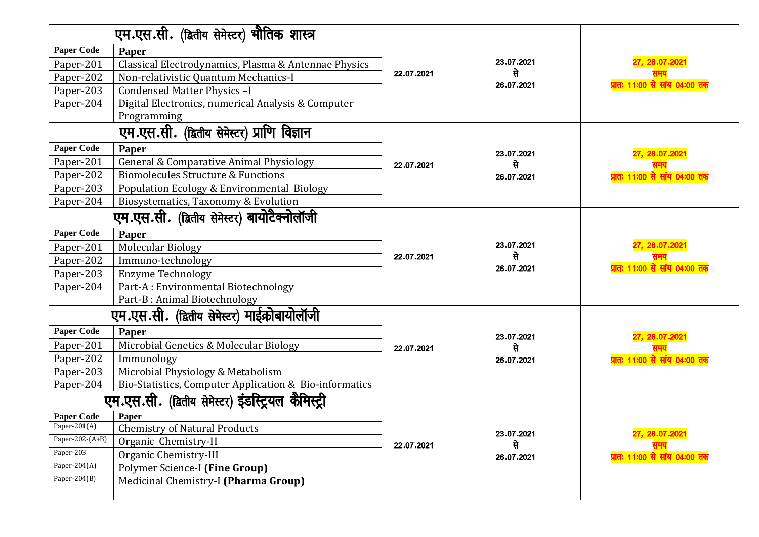|                   | एम.एस.सी. (द्वितीय सेमेस्टर) भौतिक शास्त्र                        |            |            |                                            |  |  |
|-------------------|-------------------------------------------------------------------|------------|------------|--------------------------------------------|--|--|
| <b>Paper Code</b> | Paper                                                             |            |            |                                            |  |  |
| Paper-201         | Classical Electrodynamics, Plasma & Antennae Physics              |            | 23.07.2021 | 27, 28.07.2021                             |  |  |
| Paper-202         | Non-relativistic Quantum Mechanics-I                              | 22.07.2021 | से         |                                            |  |  |
| Paper-203         | Condensed Matter Physics -I                                       |            | 26.07.2021 | <mark>प्रातः 11ः00 से सांय 04ः00 तक</mark> |  |  |
| Paper-204         | Digital Electronics, numerical Analysis & Computer<br>Programming |            |            |                                            |  |  |
|                   | एम.एस.सी. (द्वितीय सेमेस्टर) प्राणि विज्ञान                       |            |            |                                            |  |  |
| <b>Paper Code</b> | Paper                                                             |            | 23.07.2021 | 27, 28.07.2021                             |  |  |
| Paper-201         | <b>General &amp; Comparative Animal Physiology</b>                | 22.07.2021 | से         |                                            |  |  |
| Paper-202         | <b>Biomolecules Structure &amp; Functions</b>                     |            | 26.07.2021 | <mark>प्रातः 11:00 से सांय 04:00 तक</mark> |  |  |
| Paper-203         | Population Ecology & Environmental Biology                        |            |            |                                            |  |  |
| Paper-204         | Biosystematics, Taxonomy & Evolution                              |            |            |                                            |  |  |
|                   | एम.एस.सी. (द्वितीय सेमेस्टर) बायोटैक्नोलॉजी                       |            |            |                                            |  |  |
| <b>Paper Code</b> | Paper                                                             |            |            |                                            |  |  |
| Paper-201         | <b>Molecular Biology</b>                                          |            | 23.07.2021 | 27, 28.07.2021                             |  |  |
| Paper-202         | Immuno-technology                                                 | 22.07.2021 | से         |                                            |  |  |
| Paper-203         | <b>Enzyme Technology</b>                                          |            | 26.07.2021 | प्रातः 11:00 से सांय 04:00 तक              |  |  |
| Paper-204         | Part-A: Environmental Biotechnology                               |            |            |                                            |  |  |
|                   | Part-B: Animal Biotechnology                                      |            |            |                                            |  |  |
|                   | एम.एस.सी. (द्वितीय सेमेस्टर) माईक्रोबायोलॉजी                      |            |            |                                            |  |  |
| <b>Paper Code</b> | Paper                                                             |            | 23.07.2021 | 27, 28.07.2021                             |  |  |
| Paper-201         | Microbial Genetics & Molecular Biology                            | 22.07.2021 | से         |                                            |  |  |
| Paper-202         | Immunology                                                        |            | 26.07.2021 | <u>प्रातः 11:00 से सांय 04:00 तक</u>       |  |  |
| Paper-203         | Microbial Physiology & Metabolism                                 |            |            |                                            |  |  |
| Paper-204         | Bio-Statistics, Computer Application & Bio-informatics            |            |            |                                            |  |  |
|                   | एम.एस.सी. (द्वितीय सेमेस्टर) इंडस्ट्रियल कैमिस्ट्री               |            |            |                                            |  |  |
| <b>Paper Code</b> | Paper                                                             |            |            |                                            |  |  |
| Paper-201(A)      | <b>Chemistry of Natural Products</b>                              | 22.07.2021 | 23.07.2021 | 27, 28.07.2021                             |  |  |
| Paper-202-(A+B)   | Organic Chemistry-II                                              |            | से         |                                            |  |  |
| Paper-203         | Organic Chemistry-III                                             |            | 26.07.2021 | <u>प्रातः 11:00 से सांय 04:00 तक</u>       |  |  |
| Paper-204(A)      | Polymer Science-I (Fine Group)                                    |            |            |                                            |  |  |
| Paper-204 $(B)$   | Medicinal Chemistry-I (Pharma Group)                              |            |            |                                            |  |  |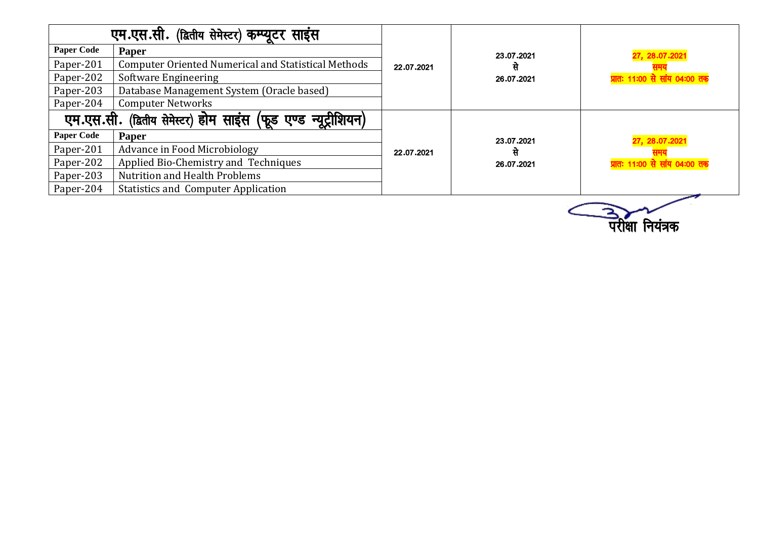|                   | एम.एस.सी. (द्वितीय सेमेस्टर) कम्प्यूटर साइंस                      |            |            |                                      |  |  |
|-------------------|-------------------------------------------------------------------|------------|------------|--------------------------------------|--|--|
| <b>Paper Code</b> | <b>Paper</b>                                                      |            | 23.07.2021 | 27, 28.07.2021                       |  |  |
| Paper-201         | <b>Computer Oriented Numerical and Statistical Methods</b>        | 22.07.2021 | से         |                                      |  |  |
| Paper-202         | Software Engineering                                              |            | 26.07.2021 | <u>प्रातः 11:00 से सांय 04:00 तक</u> |  |  |
| Paper-203         | Database Management System (Oracle based)                         |            |            |                                      |  |  |
| Paper-204         | <b>Computer Networks</b>                                          |            |            |                                      |  |  |
|                   | न्यूट्रीशियन)<br>एम.एस.सी. (द्वितीय सेमेस्टर) होम साइंस (फूड एण्ड |            |            |                                      |  |  |
| <b>Paper Code</b> | Paper                                                             |            | 23.07.2021 | 27, 28.07.2021                       |  |  |
| Paper-201         | Advance in Food Microbiology                                      | 22.07.2021 | से         |                                      |  |  |
| Paper-202         | Applied Bio-Chemistry and Techniques                              |            | 26.07.2021 | <u>प्रातः 11:00 से सांय 04:00 तक</u> |  |  |
| Paper-203         | <b>Nutrition and Health Problems</b>                              |            |            |                                      |  |  |
| Paper-204         | <b>Statistics and Computer Application</b>                        |            |            |                                      |  |  |

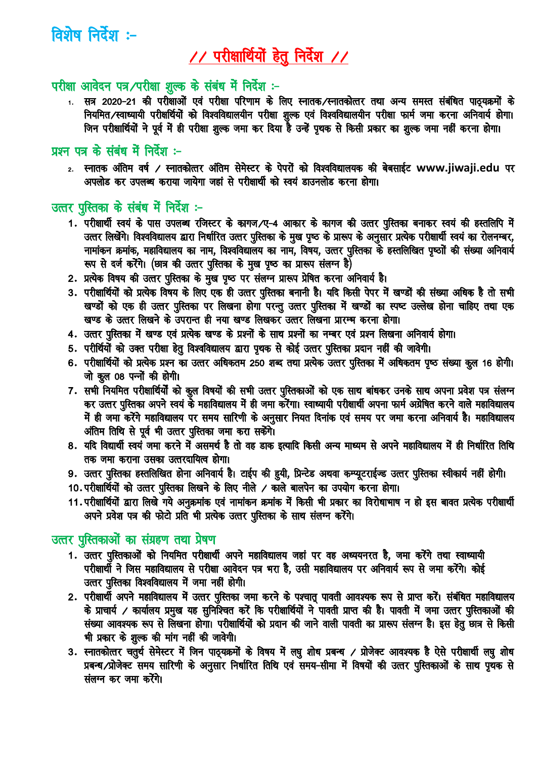विशेष निर्देश :-

# // परीक्षार्थियों हेतु निर्देश //

#### परीक्षा आवेदन पत्र/परीक्षा शुल्क के संबंध में निर्देश :-

1. सत्र 2020-21 की परीक्षाओं एवं परीक्षा परिणाम के लिए स्नातक⁄स्नातकोत्तर तथा अन्य समस्त संबंधित पाठ्यक्रमों के नियमित/स्वाध्यायी परीक्षर्थियों को विश्वविद्यालयीन परीक्षा शुल्क एवं विश्वविद्यालयीन परीक्षा फार्म जमा करना अनिवार्य होगा। 

#### प्रश्न पत्र के संबंध में निर्देश :-

2. स्नातक अंतिम वर्ष / स्नातकोत्तर अंतिम सेमेस्टर के पेपरों को विश्वविद्यालयक की बेबसाईट www.jiwaji.edu पर अपलोड कर उपलब्ध कराया जायेगा जहां से परीक्षार्थी को स्वयं डाउनलोड करना होगा।

### उत्तर पुस्तिका के संबंध में निर्देश :-

- 1. परीक्षार्थी स्वयं के पास उपलब्ध रजिस्टर के कागज/ए-4 आकार के कागज की उत्तर पुस्तिका बनाकर स्वयं की हस्तलिपि में उत्तर लिखेंगे। विश्वविद्यालय द्वारा निर्धारित उत्तर पुस्तिका के मुख पृष्ठ के प्रारूप के अनुसार प्रत्येक परीक्षार्थी स्वयं का रोलनम्बर, नामांकन क्रमांक, महाविद्यालय का नाम, विश्वविद्यालय का नाम, विषय, उत्तर पुस्तिका के हस्तलिखित पृष्ठोों की संख्या अनिवार्य रूप से दर्ज करेंगे। (छात्र की उत्तर पुस्तिका के मुख पृष्ठ का प्रारूप संलग्न है)
- 2. प्रत्येक विषय की उत्तर पुस्तिका के मुख पृष्ठ पर संलग्न प्रारूप प्रेषित करना अनिवार्य है।
- 3. परीक्षार्थियों को प्रत्येक विषय के लिए एक ही उत्तर पुस्तिका बनानी है। यदि किसी पेपर में खण्डों की संख्या अधिक है तो सभी खण्डों को एक ही उत्तर पुस्तिका पर लिखना होगा परन्तु उत्तर पुस्तिका में खण्डों का स्पष्ट उल्लेख होना चाहिए तथा एक खण्ड के उत्तर लिखने के उपरान्त ही नया खण्ड लिखकर उत्तर लिखना प्रारम्भ करना होगा।
- 4. उत्तर पुस्तिका में खण्ड एवं प्रत्येक खण्ड के प्रश्नों के साथ प्रश्नों का नम्बर एवं प्रश्न लिखना अनिवार्य होगा।
- 5. परीर्थियोँ को उक्त परीक्षा हेतु विश्वविद्यालय द्वारा पृथक से कोई उत्तर पुस्तिका प्रदान नहीं की जावेगी।
- 6. परीक्षार्थियों को प्रत्येक प्रश्न का उत्तर अधिकतम 250 शब्द तथा प्रत्येक उत्तर पुस्तिका में अधिकतम पृष्ठ संख्या कुल 16 होगी। जो कूल 08 पन्नों की होगी।
- 7. सभी नियमित परीक्षार्थियों को कुल विषयों की सभी उत्तर पुस्तिकाओं को एक साथ बांधकर उनके साथ अपना प्रवेश पत्र संलग्न कर उत्तर पुस्तिका अपने स्वयं के महाविद्यालय में ही जमा करेंगा। स्वाध्यायी परीक्षार्थी अपना फार्म अग्रेषित करने वाले महाविद्यालय में ही जमा करेंगे महाविद्यालय पर समय सारिणी के अनुसार नियत दिनांक एवं समय पर जमा करना अनिवार्य है। महाविद्यालय अंतिम तिथि से पूर्व भी उत्तर पुस्तिका जमा करा सकेंगे।
- 8. यदि विद्यार्थी स्वयं जमा करने में असमर्थ है तो वह डाक इत्यादि किसी अन्य माध्यम से अपने महाविद्यालय में ही निर्धारित तिथि तक जमा कराना उसका उत्तरदायित्व होगा।
- 9. उत्तर पुस्तिका हस्तलिखित होना अनिवार्य है। टाईप की हुयी, प्रिन्टेड अथवा कम्प्यूटराईज्ड उत्तर पुस्तिका स्वीकार्य नहीं होगी।
- 10. परीक्षार्थियों को उत्तर पुस्तिका लिखने के लिए नीले / काले बालपेन का उपयोग करना होगा।
- 11. परीक्षार्थियों द्वारा लिखे गये अनुक्रमांक एवं नामांकन क्रमांक में किसी भी प्रकार का विरोधाभाष न हो इस बावत प्रत्येक परीक्षार्थी अपने प्रवेश पत्र की फोटो प्रति भी प्रत्येक उत्तर पुस्तिका के साथ संलग्न करेंगे।

#### उत्तर पुस्तिकाओं का संग्रहण तथा प्रेषण

- 1. उत्तर पुस्तिकाओं को नियमित परीक्षार्थी अपने महाविद्यालय जहां पर वह अध्ययनरत है, जमा करेंगे तथा स्वाध्यायी परीक्षार्थी ने जिस महाविद्यालय से परीक्षा आवेदन पत्र भरा है, उसी महाविद्यालय पर अनिवार्य रूप से जमा करेंगे। कोई उत्तर पुस्तिका विश्वविद्यालय में जमा नहीं होगी।
- 2. परीक्षार्थी अपने महाविद्यालय में उत्तर पुस्तिका जमा करने के पश्चातू पावती आवश्यक रूप से प्राप्त करें। संबंधित महाविद्यालय के प्राचार्य / कार्यालय प्रमुख यह सुनिश्चित करें कि परीक्षार्थियों ने पावती प्राप्त की है। पावती में जमा उत्तर पुस्तिकाओं की संख्या आवश्यक रूप से लिखना होगा। परीक्षार्थियों को प्रदान की जाने वाली पावती का प्रारूप संलग्न है। इस हेतु छात्र से किसी भी प्रकार के शुल्क की मांग नहीं की जावेगी।
- 3. स्नातकोत्तर चतुर्थ सेमेस्टर में जिन पाठ्यक्रमों के विषय में लघु शोध प्रबन्ध / प्रोजेक्ट आवश्यक है ऐसे परीक्षार्थी लघु शोध प्रबन्ध /प्रोजेक्ट समय सारिणी के अनुसार निर्धारित तिथि एवं समय-सीमा में विषयों की उत्तर पुस्तिकाओं के साथ पृथक से संलग्न कर जमा करेंगे।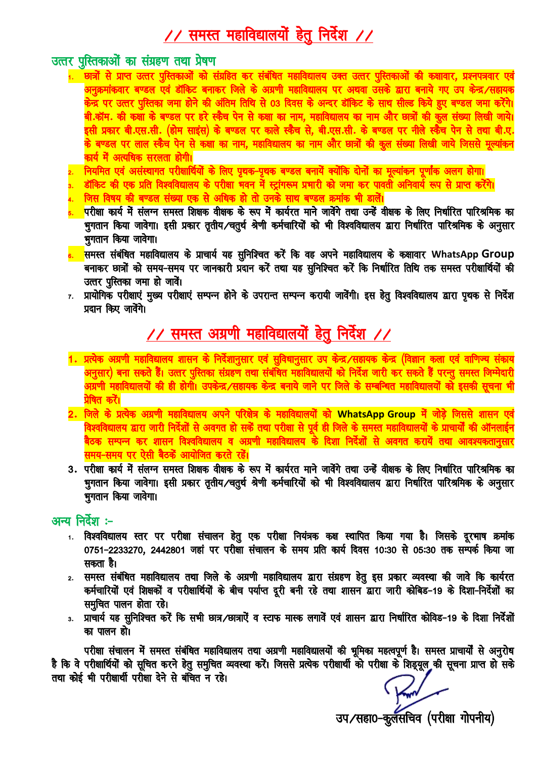### <u>// समस्त महाविद्यालयों हेतु निर्देश //</u>

#### उत्तर पुस्तिकाओं का संग्रहण तथा प्रेषण

- 1. छात्रों से प्राप्त उत्तर पुस्तिकाओं को संग्रहित कर संबंधित महाविद्यालय उक्त उत्तर पुस्तिकाओं की कक्षावार, प्रश्नपत्रवार एवं अनुक्रमांकवार बण्डल एवं डॉकिट बनाकर जिले के अग्रणी महाविद्यालय पर अथवा उसके द्वारा बनाये गए उप केन्द्र ⁄सहायक केन्द्र पर उत्तर पुस्तिका जमा होने की अंतिम तिथि से 03 दिवस के अन्दर डॉकिट के साथ सील्ड किये हुए बण्डल जमा करेंगे। बी.कॉम. की कथा के बण्डल पर हरे स्कैच पेन से कक्षा का नाम, महाविद्यालय का नाम और छात्रों की कूल संख्या लिखी जाये। इसी प्रकार बी.एस.सी. (होम साइंस) के बण्डल पर काले स्कैच से, बी.एस.सी. के बण्डल पर नीले स्कैँच पेन से तथा बी.ए. के बण्डल पर लाल स्कैच पेन से कक्षा का नाम. महाविद्यालय का नाम और छात्रों की कल संख्या लिखी जाये जिससे मुल्या<mark>ं</mark>कन कार्य में अत्यधिक सरलता होगी।
- 2. नियमित एवं असंस्थागत परीक्षार्थियों के लिए प्रथक-पृथक बण्डल बनायें क्योंकि दोनों का मूल्यांकन प्रर्णांक अलग होगा।
- डॉकिट की एक प्रति विश्वविद्यालय के परीक्षा भवन में स्ट्रांगरूम प्रभारी को जमा कर पावती अनिवार्य रूप से प्राप्त करेंगे।
- जिस विषय की बण्डल संख्या एक से अधिक हो तो उनके साथ बण्डल क्रमांक भी डालें।
- <mark>.</mark>परीक्षा कार्य में संलग्न समस्त शिक्षक वीक्षक के रूप में कार्यरत माने जावेंगे तथा उन्हें वीक्षक के लिए निर्धारित पारिश्रमिक का भुगतान किया जावेगा। इसी प्रकार तृतीय⁄चतुर्थ श्रेणी कर्मचारियों को भी विश्वविद्यालय द्वारा निर्धारित पारिश्रमिक के अनुसार भुगतान किया जावेगा।
- <mark>8. समस्त संबंधित महाविद्यालय के प्राचार्य यह सुनिश्चित करें कि वह अपने महाविद्यालय के कक्षावार WhatsApp Group</mark> बनाकर छात्रों को समय-समय पर जानकारी प्रदान करें तथा यह सुनिश्चित करें कि निर्धारित तिथि तक समस्त परीक्षार्थियों की उत्तर पुस्तिका जमा हो जावें।
- प्रायोगिक परीक्षाएं मुख्य परीक्षाएं सम्पन्न होने के उपरान्त सम्पन्न करायी जावेंगी। इस हेतु विश्वविद्यालय द्वारा पृथक से निर्देश  $7.$ प्रदान किए जावेंगे।

### / समस्त अग्रणी महाविद्यालयों हेतु निर्देश //

- 1. प्रत्येक अग्रणी महाविद्यालय शासन के निर्देशानुसार एवं सुविधानुसार उप केन्द्र/सहायक केन्द्र (विज्ञान कला एवं वाणिज्य संकाय अनुसार) बना सकते हैं। उत्तर पुस्तिका संग्रहण तथा संबंधित महाविद्यालयों को निर्देश जारी कर सकते हैं परन्तु समस्त जिम्मेदारी अग्रणी महाविद्यालयों की ही होगी। उपकेन्द्र ⁄सहायक केन्द्र बनाये जाने पर जिले के सम्बन्धित महाविद्यालयों को इसकी सूचना भी प्रेषित करें।
- 2. जिले के प्रत्येक अग्रणी महाविद्यालय अपने परिक्षेत्र के महाविद्यालयों को WhatsApp Group में जोड़े जिससे शासन एवं विश्वविद्यालय द्वारा जारी निर्देशों से अवगत हो सकें तथा परीक्षा से पूर्व ही जिले के समस्त महाविद्यालयों के प्राचार्यों की ऑनलाईन <mark>बैठक सम्पन्न कर शासन विश्वविद्यालय व अग्रणी महाविद्यालय के दिशा निर्देशों से अवगत करायें तथा आवश्यकतानुसार</mark> समय-समय पर ऐसी बैठकें आयोजित करते रहें।
- 3. परीक्षा कार्य में संलग्न समस्त शिक्षक वीक्षक के रूप में कार्यरत माने जावेंगे तथा उन्हें वीक्षक के लिए निर्धारित पारिश्रमिक का भुगतान किया जावेगा। इसी प्रकार तृतीय⁄चतुर्थ श्रेणी कर्मचारियों को भी विश्वविद्यालय द्वारा निर्धारित पारिश्रमिक के अनुसार भुगतान किया जावेगा।

#### अन्य निर्देश :-

- 1. विश्वविद्यालय स्तर पर परीक्षा संचालन हेतु एक परीक्षा नियंत्रक कक्ष स्थापित किया गया है। जिसके दूरभाष क्रमांक 0751-2233270, 2442801 जहां पर परीक्षा संचालन के समय प्रति कार्य दिवस 10:30 से 05:30 तक सम्पर्क किया जा सकता है।
- समस्त संबंधित महाविद्यालय तथा जिले के अग्रणी महाविद्यालय द्वारा संग्रहण हेतु इस प्रकार व्यवस्था की जावे कि कार्यरत  $2.$ कर्मचारियों एवं शिक्षकों व परीक्षार्थियों के बीच पर्याप्त दूरी बनी रहे तथा शासन द्वारा जारी कोबिड-19 के दिशा-निर्देशों का समुचित पालन होता रहे।
- 3. प्राचार्य यह सुनिश्चित करें कि सभी छात्र/छात्राऐं व स्टाफ मास्क लगावें एवं शासन द्वारा निर्धारित कोविड-19 के दिशा निर्देशों का पालन हो।

परीक्षा संचालन में समस्त संबंधित महाविद्यालय तथा अग्रणी महाविद्यालयों की भूमिका महत्वपूर्ण है। समस्त प्राचार्यों से अनुरोध<br>है कि वे परीक्षार्थियों को सूचित करने हेतु समुचित व्यवस्था करें। जिससे प्रत्येक परीक्षार्थी को परी तथा कोई भी परीक्षार्थी परीक्षा देने से बंचित न रहे।

उप/सहा0-कुर्लसचिव (परीक्षा गोपनीय)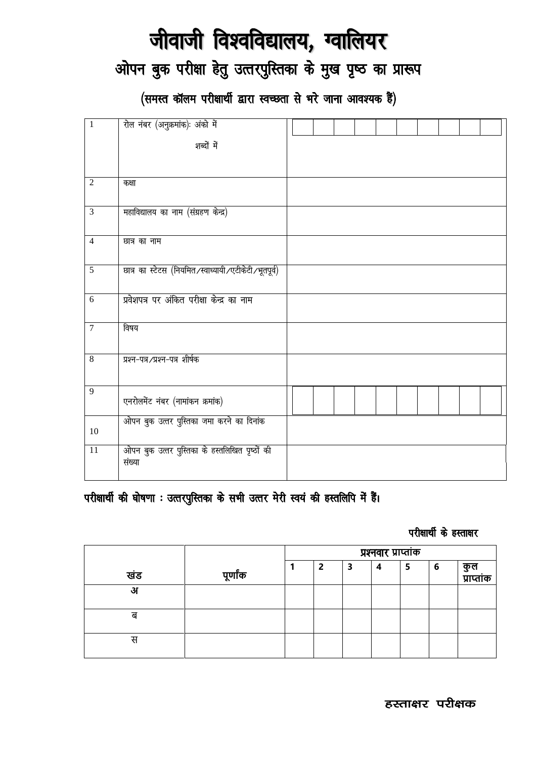# जीवाजी विश्वविद्यालय, ग्वालियर

### ओपन बुक परीक्षा हेतु उत्तरपुस्तिका के मुख पृष्ठ का प्रारूप

(समस्त कॉलम परीक्षार्थी द्वारा स्वच्छता से भरे जाना आवश्यक हैं)

| $\mathbf{1}$    | रोल नंबर (अनुक्रमांक): अंको में                          |  |  |  |  |  |
|-----------------|----------------------------------------------------------|--|--|--|--|--|
|                 | शब्दों में                                               |  |  |  |  |  |
|                 |                                                          |  |  |  |  |  |
| $\overline{2}$  | कक्षा                                                    |  |  |  |  |  |
| $\overline{3}$  | महाविद्यालय का नाम (संग्रहण केन्द्र)                     |  |  |  |  |  |
| $\overline{4}$  | छात्र का नाम                                             |  |  |  |  |  |
| $\sqrt{5}$      | छात्र का स्टेटस (नियमित/स्वाध्यायी/एटीकेटी/भूतपूर्व)     |  |  |  |  |  |
| 6               | प्रवेशपत्र पर अंकित परीक्षा केन्द्र का नाम               |  |  |  |  |  |
| $\overline{7}$  | विषय                                                     |  |  |  |  |  |
| $\overline{8}$  | प्रश्न-पत्र/प्रश्न-पत्र शीर्षक                           |  |  |  |  |  |
| $\overline{9}$  | एनरोलमेंट नंबर (नामांकन क्रमांक)                         |  |  |  |  |  |
| 10              | ओपन बुक उत्तर पुस्तिका जमा करने का दिनांक                |  |  |  |  |  |
| $\overline{11}$ | ओपन बुक उत्तर पुस्तिका के हस्तलिखित पृष्ठों की<br>संख्या |  |  |  |  |  |

### परीक्षार्थी की घोषणा : उत्तरपुस्तिका के सभी उत्तर मेरी स्वयं की हस्तलिपि में हैं।

#### परीक्षार्थी के हस्ताक्षर

|     |          | प्रश्नवार प्राप्तांक |   |   |   |   |   |                   |
|-----|----------|----------------------|---|---|---|---|---|-------------------|
| खंड | पूर्णांक |                      | 2 | 3 | 4 | 5 | 6 | कुल<br>प्राप्तांक |
| अ   |          |                      |   |   |   |   |   |                   |
| ब   |          |                      |   |   |   |   |   |                   |
| स   |          |                      |   |   |   |   |   |                   |

हस्ताक्षर परीक्षक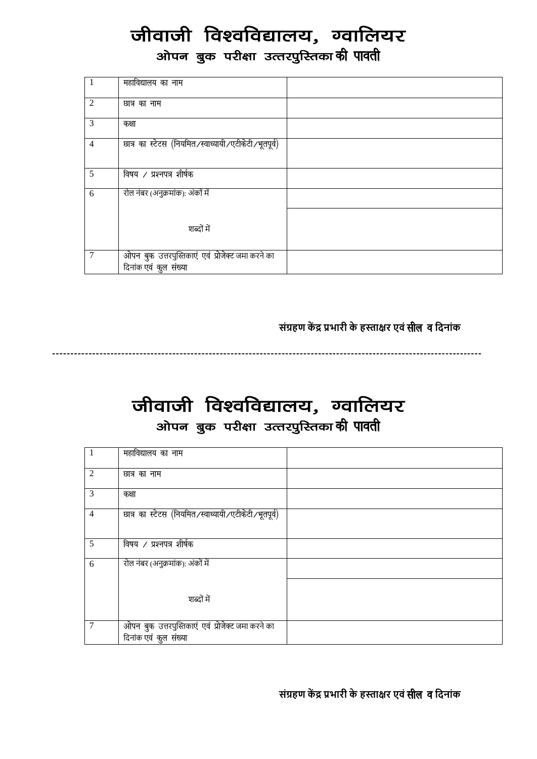# जीवाजी विश्वविद्यालय, ग्वालियर

ओपन बुक परीक्षा उत्तरपुस्तिका**की पावती** 

| $\overline{1}$ | महाविद्यालय का नाम                                                         |  |
|----------------|----------------------------------------------------------------------------|--|
| $\overline{2}$ | छात्र का नाम                                                               |  |
| 3              | कक्षा                                                                      |  |
| $\overline{4}$ | छात्र का स्टेटस (नियमित/स्वाध्यायी/एटीकेटी/भूतपूर्व)                       |  |
| 5              | विषय / प्रश्नपत्र शीर्षक                                                   |  |
| 6              | रोल नंबर (अनुक्रमांक): अंकों में                                           |  |
|                | शब्दों में                                                                 |  |
| $\overline{7}$ | ओपन बुक उत्तरपुस्तिकाएं एवं प्रोजेक्ट जमा करने का<br>दिनांक एवं कुल संख्या |  |

**संग्रहर् केंद्र प्रभणरी के हस्तणक्षर एवं**lhy o**दिनणंक**

**----------------------------------------------------------------------------------------------------------------------**

### जीवाजी विश्वविद्यालय, ग्वालियर ओपन बुक परीक्षा उत्तरपुस्तिका**की पावती**

| $\mathbf{1}$   | महाविद्यालय का नाम                                                         |  |
|----------------|----------------------------------------------------------------------------|--|
| $\overline{2}$ | छात्र का नाम                                                               |  |
| 3              | कक्षा                                                                      |  |
| $\overline{4}$ | छात्र का स्टेटस (नियमित/स्वाध्यायी/एटीकेटी/भूतपूर्व)                       |  |
| 5              | विषय / प्रश्नपत्र शीर्षक                                                   |  |
| 6              | रोल नंबर (अनुक्रमांक): अंकों में                                           |  |
|                | शब्दों में                                                                 |  |
| $\overline{7}$ | ओपन बुक उत्तरपुस्तिकाएं एवं प्रोजेक्ट जमा करने का<br>दिनांक एवं कुल संख्या |  |

**संग्रहर् कें द्र प्रभणरी के हस्तणक्षर एवं**lhy o**दिनणंक**